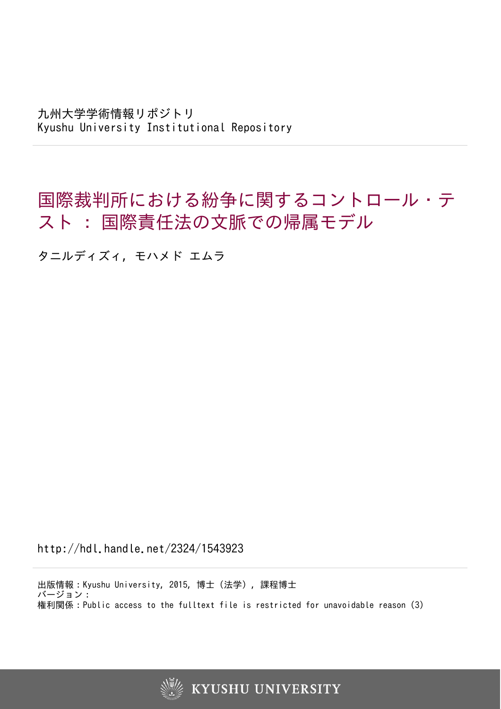九州大学学術情報リポジトリ Kyushu University Institutional Repository

国際裁判所における紛争に関するコントロール・テ スト : 国際責任法の文脈での帰属モデル

タニルディズィ, モハメド エムラ

http://hdl.handle.net/2324/1543923

出版情報:Kyushu University, 2015, 博士(法学), 課程博士 バージョン: 権利関係:Public access to the fulltext file is restricted for unavoidable reason (3)

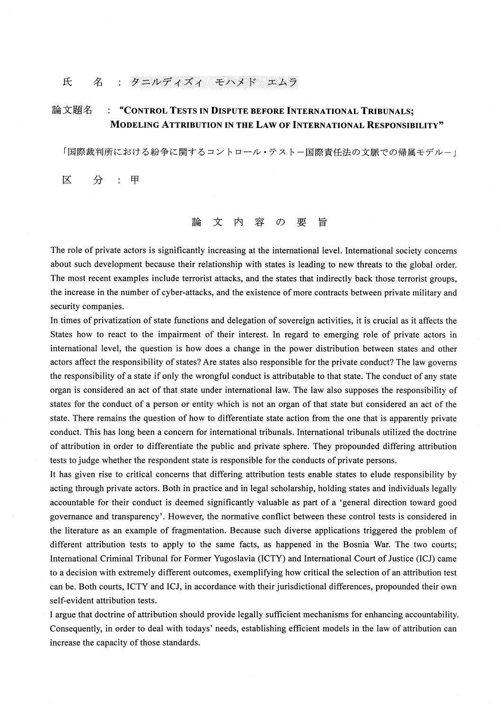## 氏 名 : タニルディズィ モハメド エムラ

## 論文題名 : "CONTROL TESTS IN DISPUTE BEFORE INTERNATIONAL TRIBUNALS: MODELING ATTRIBUTION IN THE LAW OF INTERNATIONAL RESPONSIBILITY"

「国際裁判所における紛争に関するコントロール・テストー国際責任法の文脈での帰属モデルー」

区 分  $\mathbf{r}$ 甲

## 文 内 容 要 論  $\sigma$ 旨

The role of private actors is significantly increasing at the international level. International society concerns about such development because their relationship with states is leading to new threats to the global order. The most recent examples include terrorist attacks, and the states that indirectly back those terrorist groups, the increase in the number of cyber-attacks, and the existence of more contracts between private military and security companies.

In times of privatization of state functions and delegation of sovereign activities, it is crucial as it affects the States how to react to the impairment of their interest. In regard to emerging role of private actors in international level, the question is how does a change in the power distribution between states and other actors affect the responsibility of states? Are states also responsible for the private conduct? The law governs the responsibility of a state if only the wrongful conduct is attributable to that state. The conduct of any state organ is considered an act of that state under international law. The law also supposes the responsibility of states for the conduct of a person or entity which is not an organ of that state but considered an act of the state. There remains the question of how to differentiate state action from the one that is apparently private conduct. This has long been a concern for international tribunals. International tribunals utilized the doctrine of attribution in order to differentiate the public and private sphere. They propounded differing attribution tests to judge whether the respondent state is responsible for the conducts of private persons.

It has given rise to critical concerns that differing attribution tests enable states to elude responsibility by acting through private actors. Both in practice and in legal scholarship, holding states and individuals legally accountable for their conduct is deemed significantly valuable as part of a 'general direction toward good governance and transparency'. However, the normative conflict between these control tests is considered in the literature as an example of fragmentation. Because such diverse applications triggered the problem of different attribution tests to apply to the same facts, as happened in the Bosnia War. The two courts; International Criminal Tribunal for Former Yugoslavia (ICTY) and International Court of Justice (ICJ) came to a decision with extremely different outcomes, exemplifying how critical the selection of an attribution test can be. Both courts, ICTY and ICJ, in accordance with their jurisdictional differences, propounded their own self-evident attribution tests.

I argue that doctrine of attribution should provide legally sufficient mechanisms for enhancing accountability. Consequently, in order to deal with todays' needs, establishing efficient models in the law of attribution can increase the capacity of those standards.